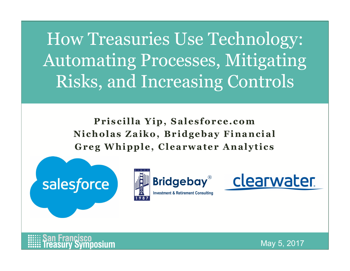Treasuries Use Technology:<br>
iating Processes, Mitigating<br>
5, and Increasing Controls<br>
Priscilla Yip, Salesforce.com<br>
holas Zaiko, Bridgebay Financial<br>
g Whipple, Clearwater Analytics W Treasuries Use Technology:<br>
omating Processes, Mitigating<br>
sks, and Increasing Controls<br>
Priscilla Yip, Salesforce.com<br>
Nicholas Zaiko, Bridgebay Financial<br>
Greg Whipple, Clearwater Analytics W Treasuries Use Technology:<br>
Sharp Processes, Mitigating<br>
Sks, and Increasing Controls<br>
Priscilla Yip, Salesforce.com<br>
Nicholas Zaiko, Bridgebay Financial<br>
Greg Whipple, Clearwater Analytics How Treasuries Use Technology: Automating Processes, Mitigating Risks, and Increasing Controls Reading Controls<br>
Increasing Controls<br>
a Yip, Salesforce.com<br>
aiko, Bridgebay Financial<br>
ple, Clearwater Analytics<br>
Financial<br>
Bridgebay<br>
ClearWa

a Yip, Salesforce.com<br>
a Yip, Salesforce.com<br>
iko, Bridgebay Financial<br>
ple, Clearwater Analytics<br>
Financial<br>
Bridgebay ClearWa







posium

May 5, 2017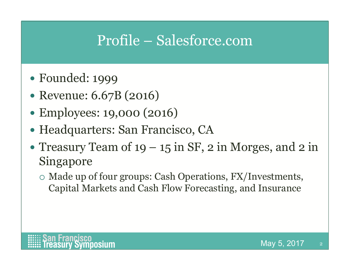# Profile – Salesforce.com

- Founded: 1999
- Revenue: 6.67B (2016)
- Employees: 19,000 (2016)
- Headquarters: San Francisco, CA
- Profile Salesforce.com<br>
 Founded: 1999<br>
 Revenue: 6.67B (2016)<br>
 Employees: 19,000 (2016)<br>
 Headquarters: San Francisco, CA<br>
 Treasury Team of 19 15 in SF, 2 in Morges, and 2 in<br>
Singapore<br>
 Made up of four grou Singapore
	- Made up of four groups: Cash Operations, FX/Investments, Capital Markets and Cash Flow Forecasting, and Insurance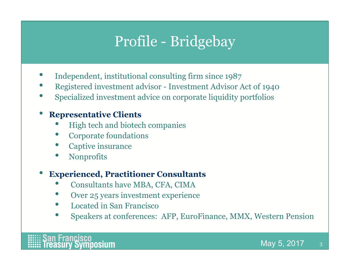# Profile - Bridgebay

- Independent, institutional consulting firm since 1987
- Profile Bridgebay<br>• Independent, institutional consulting firm since 1987<br>• Registered investment advisor Investment Advisor Act of 1940<br>• Specialized investment advice on corporate liquidity portfolios<br>• Representat Registered investment advisor - Investment Advisor Act of 1940<br>Specialized investment advice on corporate liquidity portfolios
- 

### • Representative Clients

- High tech and biotech companies
- Corporate foundations
- Captive insurance
- Nonprofits

### • Experienced, Practitioner Consultants

- Consultants have MBA, CFA, CIMA
- Over 25 years investment experience
- Located in San Francisco
- Speakers at conferences: AFP, EuroFinance, MMX, Western Pension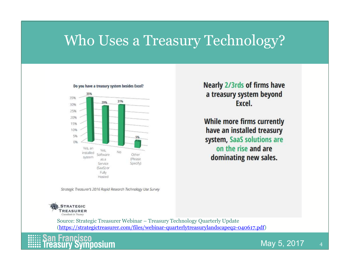### Who Uses a Treasury Technology?





(https://strategictreasurer.com/files/webinar-quarterlytreasurylandscapeq2-040617.pdf)



**Nearly 2/3rds of firms have** a treasury system beyond Excel.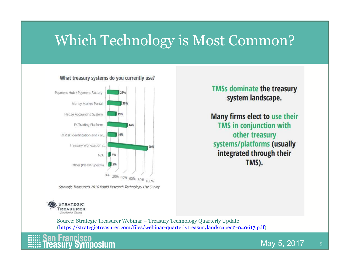## Which Technology is Most Common?



What treasury systems do you currently use?



**TMSs dominate the treasury** system landscape.

(https://strategictreasurer.com/files/webinar-quarterlytreasurylandscapeq2-040617.pdf)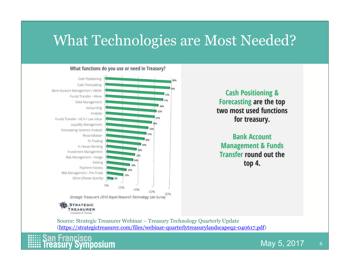### What Technologies are Most Needed?



### What functions do you use or need in Treasury?

**Cash Positioning &** Forecasting are the top

(https://strategictreasurer.com/files/webinar-quarterlytreasurylandscapeq2-040617.pdf)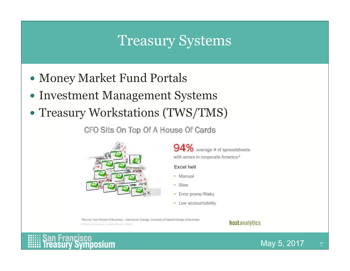### Treasury Systems

- Money Market Fund Portals
- Investment Management Systems
- Treasury Workstations (TWS/TMS)

CFO Sits On Top Of A House Of Cards



94% average # of spreadsheets with errors in corporate America\*

**Excel hell** 

- Manual
- · Slow
- Error prone/Risky
- Low accountability

\*Source: Tuck School of Business - Dartmouth College. University of Hawaii College of Business @ 2013 Horn Analytop Inc., All Rights Reserved - Silice 4

### hostanalytics



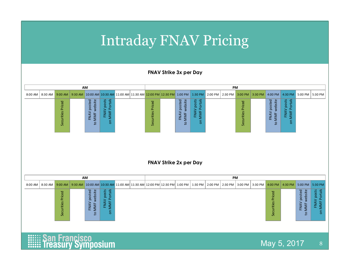### Intraday FNAV Pricing

FNAV Strike 3x per Day

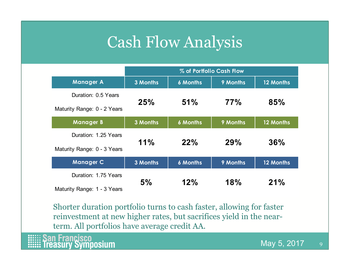## Cash Flow Analysis

| <b>Cash Flow Analysis</b>                                                |
|--------------------------------------------------------------------------|
|                                                                          |
|                                                                          |
| % of Portfolio Cash Flow                                                 |
| <b>Manager A</b><br>12 Months<br>3 Months<br><b>6 Months</b><br>9 Months |
| Duration: 0.5 Years                                                      |
| 77%<br>51%<br>85%<br>25%<br>Maturity Range: 0 - 2 Years                  |
| <b>Manager B</b><br>12 Months<br>3 Months<br><b>6 Months</b><br>9 Months |
| Duration: 1.25 Years                                                     |
| 11%<br><b>29%</b><br>22%<br>36%<br>Maturity Range: 0 - 3 Years           |
| <b>Manager C</b><br>3 Months<br><b>6 Months</b><br>9 Months<br>12 Months |
| Duration: 1.75 Years                                                     |
| 5%<br>18%<br>21%<br>12%                                                  |

Shorter duration portfolio turns to cash faster, allowing for faster reinvestment at new higher rates, but sacrifices yield in the nearterm. All portfolios have average credit AA.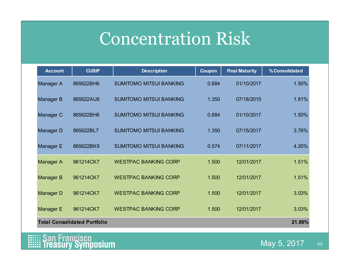## Concentration Risk

|                      |                                     | <b>Concentration Risk</b>      |               |                       |                |
|----------------------|-------------------------------------|--------------------------------|---------------|-----------------------|----------------|
| <b>Account</b>       | <b>CUSIP</b>                        | <b>Description</b>             | <b>Coupon</b> | <b>Final Maturity</b> | % Consolidated |
| <b>Manager A</b>     | 865622BH6                           | <b>SUMITOMO MITSUI BANKING</b> | 0.684         | 01/10/2017            | 1.50%          |
| <b>Manager B</b>     | 865622AU8                           | <b>SUMITOMO MITSUI BANKING</b> | 1.350         | 07/18/2015            | 1.81%          |
| Manager C            | 865622BH6                           | <b>SUMITOMO MITSUI BANKING</b> | 0.684         | 01/10/2017            | 1.50%          |
| <b>Manager D</b>     | 865622BL7                           | <b>SUMITOMO MITSUI BANKING</b> | 1.350         | 07/15/2017            | 3.76%          |
| Manager E            | 865622BK9                           | <b>SUMITOMO MITSUI BANKING</b> | 0.574         | 07/11/2017            | 4.20%          |
| <b>Manager A</b>     | 961214CK7                           | <b>WESTPAC BANKING CORP</b>    | 1.500         | 12/01/2017            | 1.51%          |
| <b>Manager B</b>     | 961214CK7                           | <b>WESTPAC BANKING CORP</b>    | 1.500         | 12/01/2017            | 1.51%          |
| <b>Manager D</b>     | 961214CK7                           | <b>WESTPAC BANKING CORP</b>    | 1.500         | 12/01/2017            | 3.03%          |
| <b>Manager E</b>     | 961214CK7                           | <b>WESTPAC BANKING CORP</b>    | 1.500         | 12/01/2017            | 3.03%          |
|                      | <b>Total Consolidated Portfolio</b> |                                |               |                       | 21.86%         |
| <b>San Francisco</b> | <b>Treasury Symposium</b>           |                                |               |                       | May 5, 2017    |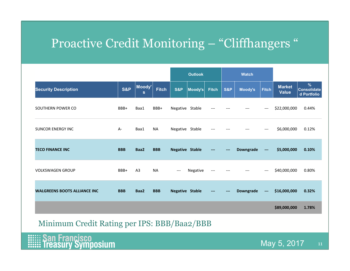# Proactive Credit Monitoring – "Cliffhangers "

| Proactive Credit Monitoring - "Cliffhangers" |                |              |              |                                   |                        |                            |                          |                |                                     |                               |                                        |
|----------------------------------------------|----------------|--------------|--------------|-----------------------------------|------------------------|----------------------------|--------------------------|----------------|-------------------------------------|-------------------------------|----------------------------------------|
|                                              |                |              |              |                                   | <b>Outlook</b>         |                            |                          | <b>Watch</b>   |                                     |                               |                                        |
| <b>Security Description</b>                  | <b>S&amp;P</b> | Moody'<br>S. | <b>Fitch</b> | <b>S&amp;P</b>                    | Moody's Fitch          |                            | <b>S&amp;P</b>           | <b>Moody's</b> | <b>Fitch</b>                        | <b>Market</b><br><b>Value</b> | ℅<br><b>Consolidate</b><br>d Portfolio |
| SOUTHERN POWER CO                            | BBB+           | Baa1         | BBB+         | Negative Stable                   |                        | $---$                      | $\qquad \qquad - \qquad$ | $---$          | $\hspace{0.05cm}---\hspace{0.05cm}$ | \$22,000,000                  | 0.44%                                  |
| <b>SUNCOR ENERGY INC</b>                     | A-             | Baa1         | NA           | Negative Stable                   |                        | ---                        |                          |                |                                     | \$6,000,000                   | 0.12%                                  |
| <b>TECO FINANCE INC</b>                      | <b>BBB</b>     | Baa2         | <b>BBB</b>   | <b>Negative Stable</b>            |                        |                            |                          | Downgrade      | $\overline{\phantom{a}}$            | \$5,000,000                   | 0.10%                                  |
| <b>VOLKSWAGEN GROUP</b>                      | BBB+           | A3           | <b>NA</b>    | $\hspace{0.05cm} \dashrightarrow$ | Negative               |                            |                          |                |                                     | \$40,000,000                  | 0.80%                                  |
| <b>WALGREENS BOOTS ALLIANCE INC</b>          | <b>BBB</b>     | Baa2         | <b>BBB</b>   |                                   | <b>Negative Stable</b> | $\qquad \qquad \text{---}$ | $\qquad \qquad - -$      | Downgrade      | $\sim$                              | \$16,000,000                  | 0.32%                                  |
|                                              |                |              |              |                                   |                        |                            |                          |                |                                     | \$89,000,000                  | 1.78%                                  |
| Minimum Credit Rating per IPS: BBB/Baa2/BBB  |                |              |              |                                   |                        |                            |                          |                |                                     |                               |                                        |
| <b>EEE: San Francisco</b>                    |                |              |              |                                   |                        |                            |                          |                |                                     |                               |                                        |

Minimum Credit Rating per IPS: BBB/Baa2/BBB

**EEEE: San Francisco**<br> **EEEE: Treasury Symposium**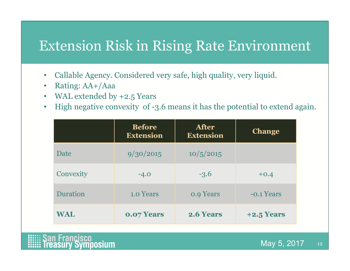### Extension Risk in Rising Rate Environment

- Callable Agency. Considered very safe, high quality, very liquid.
- Rating: AA+/Aaa
- WAL extended by +2.5 Years
- High negative convexity of -3.6 means it has the potential to extend again.

| <b>Example 1: Example 1: Example 1: Example 1: Algency</b> Rate Environment                                                                                                                         |                                   |                                  |               |                 |
|-----------------------------------------------------------------------------------------------------------------------------------------------------------------------------------------------------|-----------------------------------|----------------------------------|---------------|-----------------|
| Callable Agency. Considered very safe, high quality, very liquid.<br>Rating: AA+/Aaa<br>WAL extended by $+2.5$ Years<br>High negative convexity of -3.6 means it has the potential to extend again. |                                   |                                  |               |                 |
|                                                                                                                                                                                                     | <b>Before</b><br><b>Extension</b> | <b>After</b><br><b>Extension</b> | <b>Change</b> |                 |
| Date                                                                                                                                                                                                | 9/30/2015                         | 10/5/2015                        |               |                 |
| Convexity                                                                                                                                                                                           | $-4.0$                            | $-3.6$                           | $+0.4$        |                 |
| Duration                                                                                                                                                                                            | 1.0 Years                         | <b>0.9 Years</b>                 | -o.1 Years    |                 |
| <b>WAL</b>                                                                                                                                                                                          | 0.07 Years                        | 2.6 Years                        | $+2.5$ Years  |                 |
| Francisco                                                                                                                                                                                           |                                   |                                  | Max 5 2017    | 19 <sup>°</sup> |